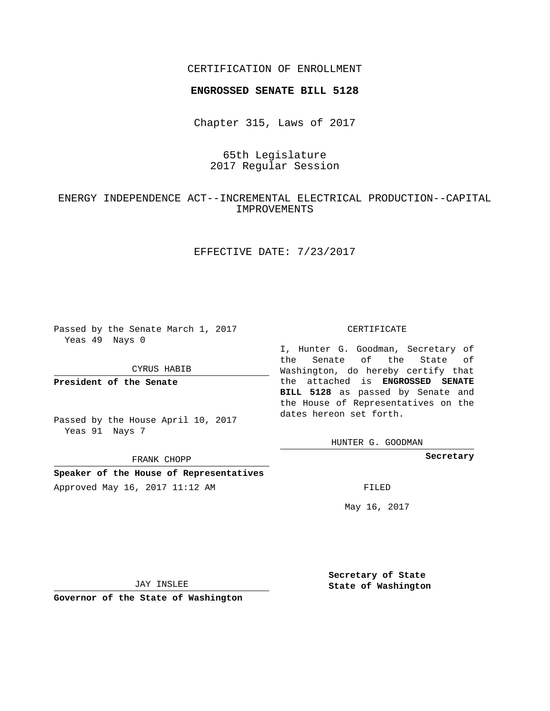### CERTIFICATION OF ENROLLMENT

#### **ENGROSSED SENATE BILL 5128**

Chapter 315, Laws of 2017

# 65th Legislature 2017 Regular Session

## ENERGY INDEPENDENCE ACT--INCREMENTAL ELECTRICAL PRODUCTION--CAPITAL IMPROVEMENTS

## EFFECTIVE DATE: 7/23/2017

Passed by the Senate March 1, 2017 Yeas 49 Nays 0

#### CYRUS HABIB

**President of the Senate**

Passed by the House April 10, 2017 Yeas 91 Nays 7

FRANK CHOPP

**Speaker of the House of Representatives**

Approved May 16, 2017 11:12 AM FILED

#### CERTIFICATE

I, Hunter G. Goodman, Secretary of the Senate of the State of Washington, do hereby certify that the attached is **ENGROSSED SENATE BILL 5128** as passed by Senate and the House of Representatives on the dates hereon set forth.

HUNTER G. GOODMAN

**Secretary**

May 16, 2017

JAY INSLEE

**Governor of the State of Washington**

**Secretary of State State of Washington**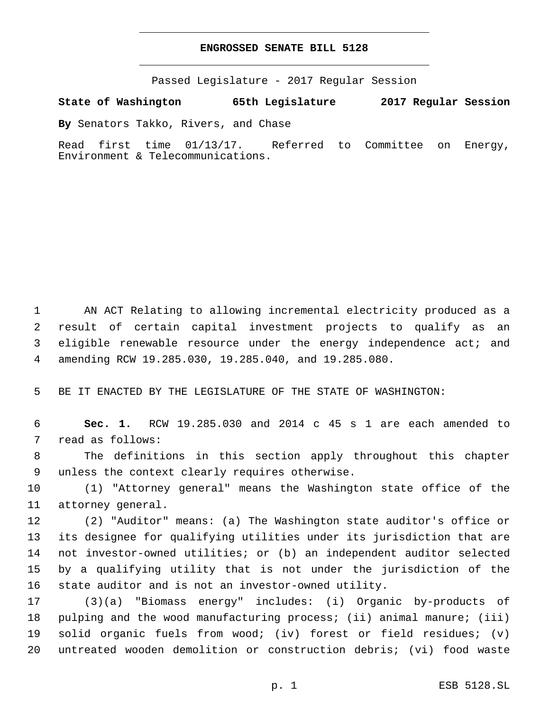#### **ENGROSSED SENATE BILL 5128**

Passed Legislature - 2017 Regular Session

**State of Washington 65th Legislature 2017 Regular Session**

**By** Senators Takko, Rivers, and Chase

Read first time 01/13/17. Referred to Committee on Energy, Environment & Telecommunications.

 AN ACT Relating to allowing incremental electricity produced as a result of certain capital investment projects to qualify as an 3 eligible renewable resource under the energy independence act; and amending RCW 19.285.030, 19.285.040, and 19.285.080.

5 BE IT ENACTED BY THE LEGISLATURE OF THE STATE OF WASHINGTON:

6 **Sec. 1.** RCW 19.285.030 and 2014 c 45 s 1 are each amended to 7 read as follows:

8 The definitions in this section apply throughout this chapter 9 unless the context clearly requires otherwise.

10 (1) "Attorney general" means the Washington state office of the 11 attorney general.

 (2) "Auditor" means: (a) The Washington state auditor's office or its designee for qualifying utilities under its jurisdiction that are not investor-owned utilities; or (b) an independent auditor selected by a qualifying utility that is not under the jurisdiction of the state auditor and is not an investor-owned utility.

 (3)(a) "Biomass energy" includes: (i) Organic by-products of pulping and the wood manufacturing process; (ii) animal manure; (iii) solid organic fuels from wood; (iv) forest or field residues; (v) untreated wooden demolition or construction debris; (vi) food waste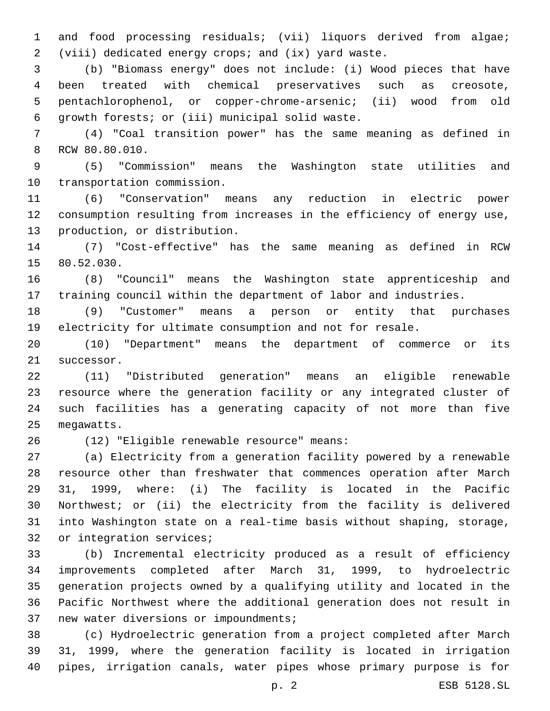and food processing residuals; (vii) liquors derived from algae; (viii) dedicated energy crops; and (ix) yard waste.

 (b) "Biomass energy" does not include: (i) Wood pieces that have been treated with chemical preservatives such as creosote, pentachlorophenol, or copper-chrome-arsenic; (ii) wood from old 6 growth forests; or (iii) municipal solid waste.

 (4) "Coal transition power" has the same meaning as defined in 8 RCW 80.80.010.

 (5) "Commission" means the Washington state utilities and 10 transportation commission.

 (6) "Conservation" means any reduction in electric power consumption resulting from increases in the efficiency of energy use, 13 production, or distribution.

 (7) "Cost-effective" has the same meaning as defined in RCW 15 80.52.030.

 (8) "Council" means the Washington state apprenticeship and training council within the department of labor and industries.

 (9) "Customer" means a person or entity that purchases electricity for ultimate consumption and not for resale.

 (10) "Department" means the department of commerce or its 21 successor.

 (11) "Distributed generation" means an eligible renewable resource where the generation facility or any integrated cluster of such facilities has a generating capacity of not more than five 25 megawatts.

(12) "Eligible renewable resource" means:26

 (a) Electricity from a generation facility powered by a renewable resource other than freshwater that commences operation after March 31, 1999, where: (i) The facility is located in the Pacific Northwest; or (ii) the electricity from the facility is delivered into Washington state on a real-time basis without shaping, storage, 32 or integration services;

 (b) Incremental electricity produced as a result of efficiency improvements completed after March 31, 1999, to hydroelectric generation projects owned by a qualifying utility and located in the Pacific Northwest where the additional generation does not result in 37 new water diversions or impoundments;

 (c) Hydroelectric generation from a project completed after March 31, 1999, where the generation facility is located in irrigation pipes, irrigation canals, water pipes whose primary purpose is for

p. 2 ESB 5128.SL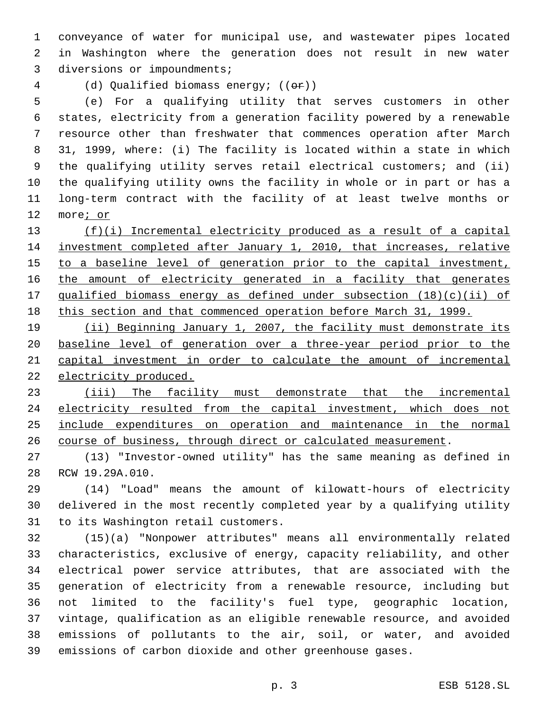conveyance of water for municipal use, and wastewater pipes located in Washington where the generation does not result in new water 3 diversions or impoundments;

(d) Qualified biomass energy; ((or))

 (e) For a qualifying utility that serves customers in other states, electricity from a generation facility powered by a renewable resource other than freshwater that commences operation after March 31, 1999, where: (i) The facility is located within a state in which the qualifying utility serves retail electrical customers; and (ii) the qualifying utility owns the facility in whole or in part or has a long-term contract with the facility of at least twelve months or more; or

 (f)(i) Incremental electricity produced as a result of a capital investment completed after January 1, 2010, that increases, relative 15 to a baseline level of generation prior to the capital investment, the amount of electricity generated in a facility that generates qualified biomass energy as defined under subsection (18)(c)(ii) of this section and that commenced operation before March 31, 1999.

 (ii) Beginning January 1, 2007, the facility must demonstrate its baseline level of generation over a three-year period prior to the capital investment in order to calculate the amount of incremental 22 electricity produced.

 (iii) The facility must demonstrate that the incremental 24 electricity resulted from the capital investment, which does not include expenditures on operation and maintenance in the normal course of business, through direct or calculated measurement.

 (13) "Investor-owned utility" has the same meaning as defined in 28 RCW 19.29A.010.

 (14) "Load" means the amount of kilowatt-hours of electricity delivered in the most recently completed year by a qualifying utility 31 to its Washington retail customers.

 (15)(a) "Nonpower attributes" means all environmentally related characteristics, exclusive of energy, capacity reliability, and other electrical power service attributes, that are associated with the generation of electricity from a renewable resource, including but not limited to the facility's fuel type, geographic location, vintage, qualification as an eligible renewable resource, and avoided emissions of pollutants to the air, soil, or water, and avoided emissions of carbon dioxide and other greenhouse gases.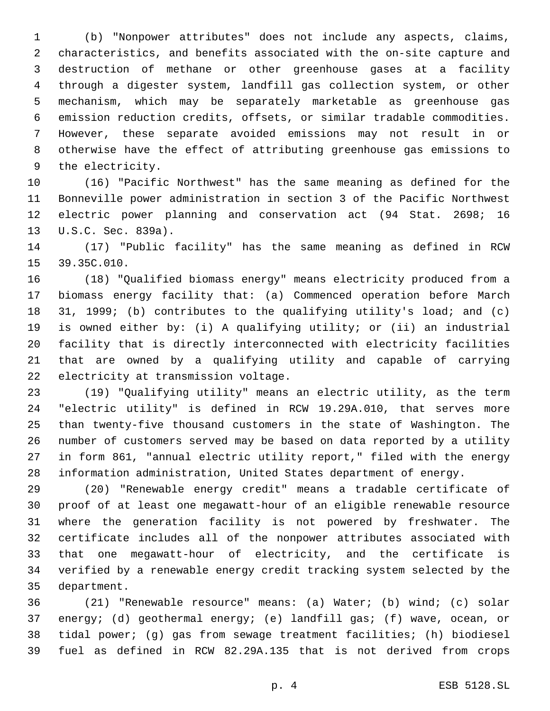(b) "Nonpower attributes" does not include any aspects, claims, characteristics, and benefits associated with the on-site capture and destruction of methane or other greenhouse gases at a facility through a digester system, landfill gas collection system, or other mechanism, which may be separately marketable as greenhouse gas emission reduction credits, offsets, or similar tradable commodities. However, these separate avoided emissions may not result in or otherwise have the effect of attributing greenhouse gas emissions to 9 the electricity.

 (16) "Pacific Northwest" has the same meaning as defined for the Bonneville power administration in section 3 of the Pacific Northwest electric power planning and conservation act (94 Stat. 2698; 16 13 U.S.C. Sec. 839a).

 (17) "Public facility" has the same meaning as defined in RCW 15 39.35C.010.

 (18) "Qualified biomass energy" means electricity produced from a biomass energy facility that: (a) Commenced operation before March 31, 1999; (b) contributes to the qualifying utility's load; and (c) is owned either by: (i) A qualifying utility; or (ii) an industrial facility that is directly interconnected with electricity facilities that are owned by a qualifying utility and capable of carrying 22 electricity at transmission voltage.

 (19) "Qualifying utility" means an electric utility, as the term "electric utility" is defined in RCW 19.29A.010, that serves more than twenty-five thousand customers in the state of Washington. The number of customers served may be based on data reported by a utility in form 861, "annual electric utility report," filed with the energy information administration, United States department of energy.

 (20) "Renewable energy credit" means a tradable certificate of proof of at least one megawatt-hour of an eligible renewable resource where the generation facility is not powered by freshwater. The certificate includes all of the nonpower attributes associated with that one megawatt-hour of electricity, and the certificate is verified by a renewable energy credit tracking system selected by the 35 department.

 (21) "Renewable resource" means: (a) Water; (b) wind; (c) solar energy; (d) geothermal energy; (e) landfill gas; (f) wave, ocean, or tidal power; (g) gas from sewage treatment facilities; (h) biodiesel fuel as defined in RCW 82.29A.135 that is not derived from crops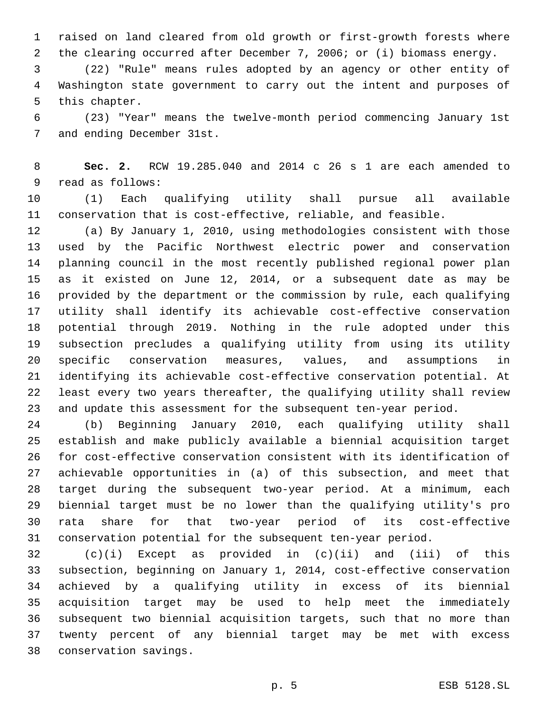raised on land cleared from old growth or first-growth forests where the clearing occurred after December 7, 2006; or (i) biomass energy.

 (22) "Rule" means rules adopted by an agency or other entity of Washington state government to carry out the intent and purposes of 5 this chapter.

 (23) "Year" means the twelve-month period commencing January 1st 7 and ending December 31st.

 **Sec. 2.** RCW 19.285.040 and 2014 c 26 s 1 are each amended to 9 read as follows:

 (1) Each qualifying utility shall pursue all available conservation that is cost-effective, reliable, and feasible.

 (a) By January 1, 2010, using methodologies consistent with those used by the Pacific Northwest electric power and conservation planning council in the most recently published regional power plan as it existed on June 12, 2014, or a subsequent date as may be provided by the department or the commission by rule, each qualifying utility shall identify its achievable cost-effective conservation potential through 2019. Nothing in the rule adopted under this subsection precludes a qualifying utility from using its utility specific conservation measures, values, and assumptions in identifying its achievable cost-effective conservation potential. At least every two years thereafter, the qualifying utility shall review and update this assessment for the subsequent ten-year period.

 (b) Beginning January 2010, each qualifying utility shall establish and make publicly available a biennial acquisition target for cost-effective conservation consistent with its identification of achievable opportunities in (a) of this subsection, and meet that target during the subsequent two-year period. At a minimum, each biennial target must be no lower than the qualifying utility's pro rata share for that two-year period of its cost-effective conservation potential for the subsequent ten-year period.

 (c)(i) Except as provided in (c)(ii) and (iii) of this subsection, beginning on January 1, 2014, cost-effective conservation achieved by a qualifying utility in excess of its biennial acquisition target may be used to help meet the immediately subsequent two biennial acquisition targets, such that no more than twenty percent of any biennial target may be met with excess conservation savings.38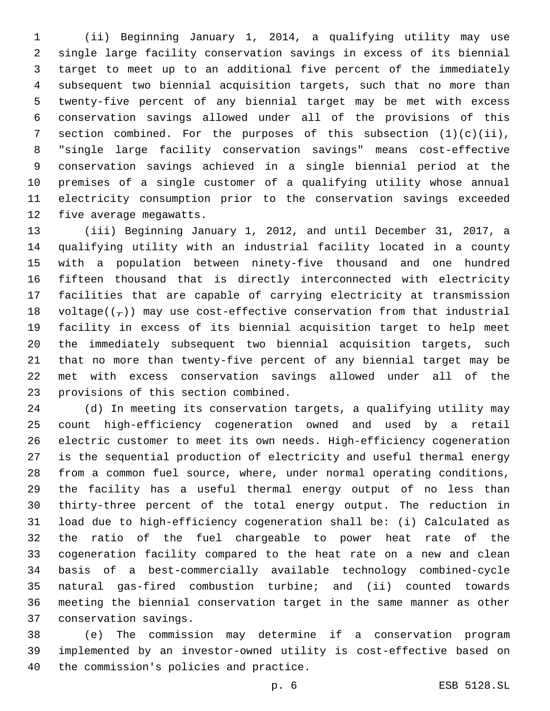(ii) Beginning January 1, 2014, a qualifying utility may use single large facility conservation savings in excess of its biennial target to meet up to an additional five percent of the immediately subsequent two biennial acquisition targets, such that no more than twenty-five percent of any biennial target may be met with excess conservation savings allowed under all of the provisions of this 7 section combined. For the purposes of this subsection  $(1)(c)(ii)$ , "single large facility conservation savings" means cost-effective conservation savings achieved in a single biennial period at the premises of a single customer of a qualifying utility whose annual electricity consumption prior to the conservation savings exceeded 12 five average megawatts.

 (iii) Beginning January 1, 2012, and until December 31, 2017, a qualifying utility with an industrial facility located in a county with a population between ninety-five thousand and one hundred fifteen thousand that is directly interconnected with electricity facilities that are capable of carrying electricity at transmission 18 voltage( $(\frac{1}{r})$ ) may use cost-effective conservation from that industrial facility in excess of its biennial acquisition target to help meet the immediately subsequent two biennial acquisition targets, such that no more than twenty-five percent of any biennial target may be met with excess conservation savings allowed under all of the 23 provisions of this section combined.

 (d) In meeting its conservation targets, a qualifying utility may count high-efficiency cogeneration owned and used by a retail electric customer to meet its own needs. High-efficiency cogeneration is the sequential production of electricity and useful thermal energy from a common fuel source, where, under normal operating conditions, the facility has a useful thermal energy output of no less than thirty-three percent of the total energy output. The reduction in load due to high-efficiency cogeneration shall be: (i) Calculated as the ratio of the fuel chargeable to power heat rate of the cogeneration facility compared to the heat rate on a new and clean basis of a best-commercially available technology combined-cycle natural gas-fired combustion turbine; and (ii) counted towards meeting the biennial conservation target in the same manner as other 37 conservation savings.

 (e) The commission may determine if a conservation program implemented by an investor-owned utility is cost-effective based on 40 the commission's policies and practice.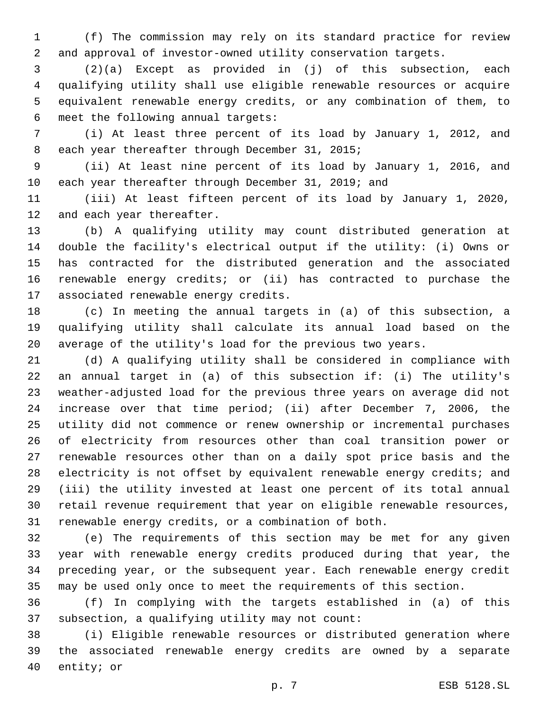(f) The commission may rely on its standard practice for review and approval of investor-owned utility conservation targets.

 (2)(a) Except as provided in (j) of this subsection, each qualifying utility shall use eligible renewable resources or acquire equivalent renewable energy credits, or any combination of them, to 6 meet the following annual targets:

 (i) At least three percent of its load by January 1, 2012, and 8 each year thereafter through December 31, 2015;

 (ii) At least nine percent of its load by January 1, 2016, and each year thereafter through December 31, 2019; and

 (iii) At least fifteen percent of its load by January 1, 2020, 12 and each year thereafter.

 (b) A qualifying utility may count distributed generation at double the facility's electrical output if the utility: (i) Owns or has contracted for the distributed generation and the associated renewable energy credits; or (ii) has contracted to purchase the 17 associated renewable energy credits.

 (c) In meeting the annual targets in (a) of this subsection, a qualifying utility shall calculate its annual load based on the average of the utility's load for the previous two years.

 (d) A qualifying utility shall be considered in compliance with an annual target in (a) of this subsection if: (i) The utility's weather-adjusted load for the previous three years on average did not increase over that time period; (ii) after December 7, 2006, the utility did not commence or renew ownership or incremental purchases of electricity from resources other than coal transition power or renewable resources other than on a daily spot price basis and the electricity is not offset by equivalent renewable energy credits; and (iii) the utility invested at least one percent of its total annual retail revenue requirement that year on eligible renewable resources, renewable energy credits, or a combination of both.

 (e) The requirements of this section may be met for any given year with renewable energy credits produced during that year, the preceding year, or the subsequent year. Each renewable energy credit may be used only once to meet the requirements of this section.

 (f) In complying with the targets established in (a) of this 37 subsection, a qualifying utility may not count:

 (i) Eligible renewable resources or distributed generation where the associated renewable energy credits are owned by a separate 40 entity; or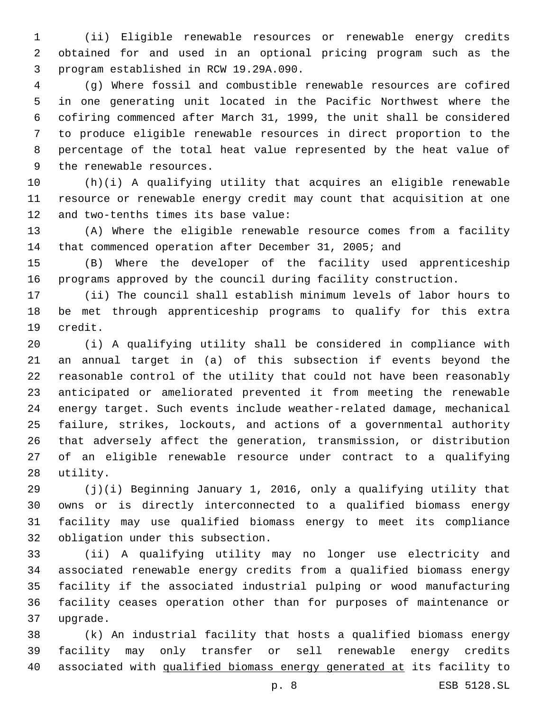(ii) Eligible renewable resources or renewable energy credits obtained for and used in an optional pricing program such as the program established in RCW 19.29A.090.3

 (g) Where fossil and combustible renewable resources are cofired in one generating unit located in the Pacific Northwest where the cofiring commenced after March 31, 1999, the unit shall be considered to produce eligible renewable resources in direct proportion to the percentage of the total heat value represented by the heat value of 9 the renewable resources.

 (h)(i) A qualifying utility that acquires an eligible renewable resource or renewable energy credit may count that acquisition at one 12 and two-tenths times its base value:

 (A) Where the eligible renewable resource comes from a facility that commenced operation after December 31, 2005; and

 (B) Where the developer of the facility used apprenticeship programs approved by the council during facility construction.

 (ii) The council shall establish minimum levels of labor hours to be met through apprenticeship programs to qualify for this extra 19 credit.

 (i) A qualifying utility shall be considered in compliance with an annual target in (a) of this subsection if events beyond the reasonable control of the utility that could not have been reasonably anticipated or ameliorated prevented it from meeting the renewable energy target. Such events include weather-related damage, mechanical failure, strikes, lockouts, and actions of a governmental authority that adversely affect the generation, transmission, or distribution of an eligible renewable resource under contract to a qualifying 28 utility.

 (j)(i) Beginning January 1, 2016, only a qualifying utility that owns or is directly interconnected to a qualified biomass energy facility may use qualified biomass energy to meet its compliance 32 obligation under this subsection.

 (ii) A qualifying utility may no longer use electricity and associated renewable energy credits from a qualified biomass energy facility if the associated industrial pulping or wood manufacturing facility ceases operation other than for purposes of maintenance or 37 upgrade.

 (k) An industrial facility that hosts a qualified biomass energy facility may only transfer or sell renewable energy credits associated with qualified biomass energy generated at its facility to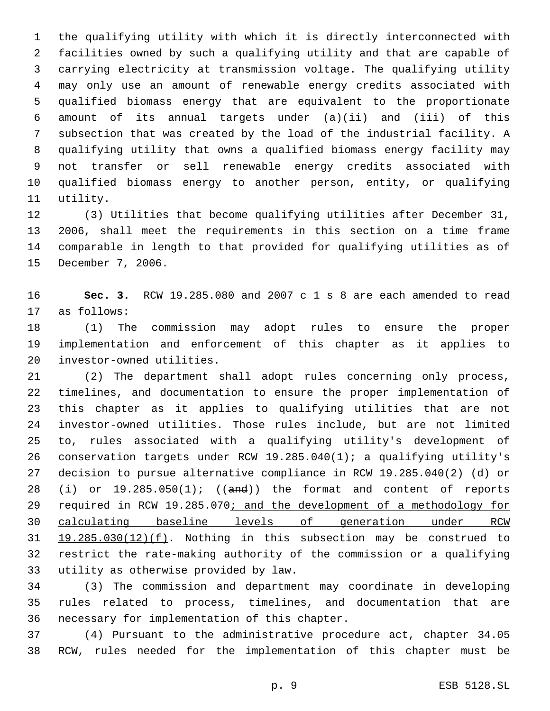the qualifying utility with which it is directly interconnected with facilities owned by such a qualifying utility and that are capable of carrying electricity at transmission voltage. The qualifying utility may only use an amount of renewable energy credits associated with qualified biomass energy that are equivalent to the proportionate amount of its annual targets under (a)(ii) and (iii) of this subsection that was created by the load of the industrial facility. A qualifying utility that owns a qualified biomass energy facility may not transfer or sell renewable energy credits associated with qualified biomass energy to another person, entity, or qualifying 11 utility.

 (3) Utilities that become qualifying utilities after December 31, 2006, shall meet the requirements in this section on a time frame comparable in length to that provided for qualifying utilities as of 15 December 7, 2006.

 **Sec. 3.** RCW 19.285.080 and 2007 c 1 s 8 are each amended to read 17 as follows:

 (1) The commission may adopt rules to ensure the proper implementation and enforcement of this chapter as it applies to 20 investor-owned utilities.

 (2) The department shall adopt rules concerning only process, timelines, and documentation to ensure the proper implementation of this chapter as it applies to qualifying utilities that are not investor-owned utilities. Those rules include, but are not limited to, rules associated with a qualifying utility's development of conservation targets under RCW 19.285.040(1); a qualifying utility's decision to pursue alternative compliance in RCW 19.285.040(2) (d) or 28 (i) or  $19.285.050(1)$ ; ((and)) the format and content of reports 29 required in RCW 19.285.070; and the development of a methodology for calculating baseline levels of generation under RCW 19.285.030(12)(f). Nothing in this subsection may be construed to restrict the rate-making authority of the commission or a qualifying 33 utility as otherwise provided by law.

 (3) The commission and department may coordinate in developing rules related to process, timelines, and documentation that are 36 necessary for implementation of this chapter.

 (4) Pursuant to the administrative procedure act, chapter 34.05 RCW, rules needed for the implementation of this chapter must be